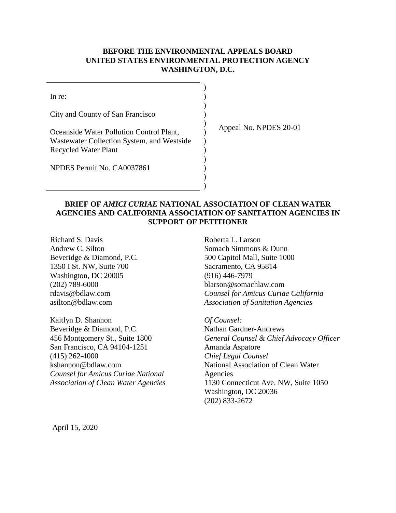## **BEFORE THE ENVIRONMENTAL APPEALS BOARD UNITED STATES ENVIRONMENTAL PROTECTION AGENCY WASHINGTON, D.C.**

| In re:                                     |  |
|--------------------------------------------|--|
|                                            |  |
| City and County of San Francisco           |  |
|                                            |  |
| Oceanside Water Pollution Control Plant,   |  |
| Wastewater Collection System, and Westside |  |
| Recycled Water Plant                       |  |
|                                            |  |
| NPDES Permit No. CA0037861                 |  |
|                                            |  |

Appeal No. NPDES 20-01

### **BRIEF OF** *AMICI CURIAE* **NATIONAL ASSOCIATION OF CLEAN WATER AGENCIES AND CALIFORNIA ASSOCIATION OF SANITATION AGENCIES IN SUPPORT OF PETITIONER**

)

Richard S. Davis Andrew C. Silton Beveridge & Diamond, P.C. 1350 I St. NW, Suite 700 Washington, DC 20005 (202) 789-6000 rdavis@bdlaw.com asilton@bdlaw.com

Kaitlyn D. Shannon Beveridge & Diamond, P.C. 456 Montgomery St., Suite 1800 San Francisco, CA 94104-1251 (415) 262-4000 kshannon@bdlaw.com *Counsel for Amicus Curiae National Association of Clean Water Agencies*

Roberta L. Larson Somach Simmons & Dunn 500 Capitol Mall, Suite 1000 Sacramento, CA 95814 (916) 446-7979 blarson@somachlaw.com *Counsel for Amicus Curiae California Association of Sanitation Agencies*

*Of Counsel:* Nathan Gardner-Andrews *General Counsel & Chief Advocacy Officer* Amanda Aspatore *Chief Legal Counsel* National Association of Clean Water Agencies 1130 Connecticut Ave. NW, Suite 1050 Washington, DC 20036 (202) 833-2672

April 15, 2020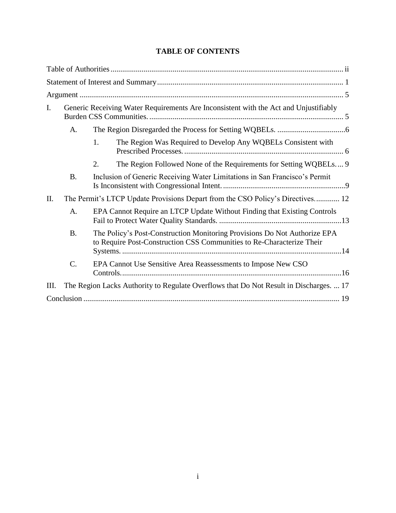## **TABLE OF CONTENTS**

| I.  |                 | Generic Receiving Water Requirements Are Inconsistent with the Act and Unjustifiably                                                               |
|-----|-----------------|----------------------------------------------------------------------------------------------------------------------------------------------------|
|     | A.              |                                                                                                                                                    |
|     |                 | The Region Was Required to Develop Any WQBELs Consistent with<br>1.                                                                                |
|     |                 | 2.<br>The Region Followed None of the Requirements for Setting WQBELs 9                                                                            |
|     | <b>B.</b>       | Inclusion of Generic Receiving Water Limitations in San Francisco's Permit                                                                         |
| II. |                 | The Permit's LTCP Update Provisions Depart from the CSO Policy's Directives 12                                                                     |
|     | A.              | EPA Cannot Require an LTCP Update Without Finding that Existing Controls                                                                           |
|     | <b>B.</b>       | The Policy's Post-Construction Monitoring Provisions Do Not Authorize EPA<br>to Require Post-Construction CSS Communities to Re-Characterize Their |
|     | $\mathcal{C}$ . | EPA Cannot Use Sensitive Area Reassessments to Impose New CSO                                                                                      |
| Ш.  |                 | The Region Lacks Authority to Regulate Overflows that Do Not Result in Discharges.  17                                                             |
|     |                 |                                                                                                                                                    |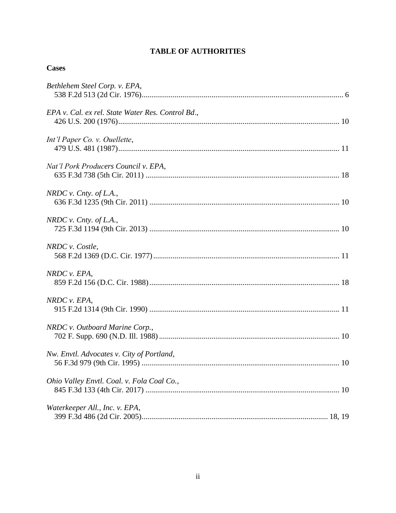## **TABLE OF AUTHORITIES**

| Bethlehem Steel Corp. v. EPA,                     |
|---------------------------------------------------|
| EPA v. Cal. ex rel. State Water Res. Control Bd., |
| Int'l Paper Co. v. Ouellette,                     |
| Nat'l Pork Producers Council v. EPA,              |
| NRDC v. Cnty. of L.A.,                            |
| NRDC v. Cnty. of L.A.,                            |
| NRDC v. Costle,                                   |
| NRDC v. EPA,                                      |
| NRDC v. EPA,                                      |
| NRDC v. Outboard Marine Corp.,                    |
| Nw. Envtl. Advocates v. City of Portland,         |
| Ohio Valley Envtl. Coal. v. Fola Coal Co.,        |
| Waterkeeper All., Inc. v. EPA,                    |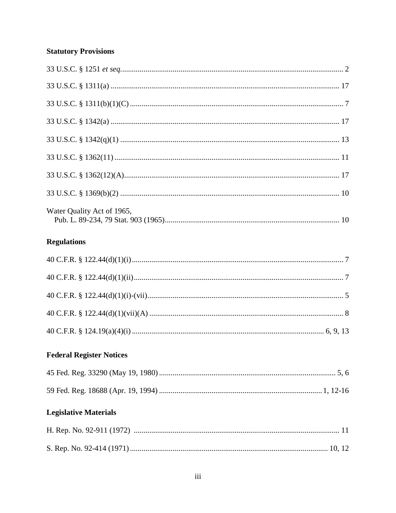# **Statutory Provisions**

| Water Quality Act of 1965,      |  |
|---------------------------------|--|
| <b>Regulations</b>              |  |
|                                 |  |
|                                 |  |
|                                 |  |
|                                 |  |
|                                 |  |
| <b>Federal Register Notices</b> |  |
|                                 |  |
|                                 |  |
| <b>Legislative Materials</b>    |  |
|                                 |  |
|                                 |  |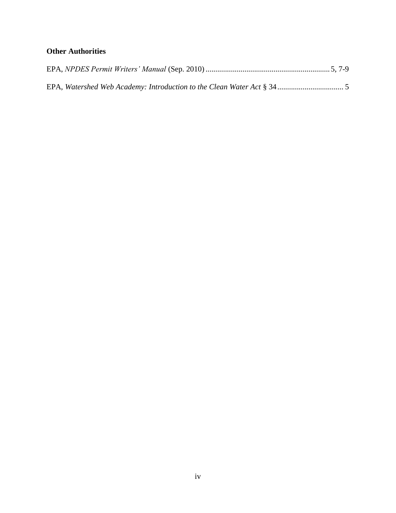# **Other Authorities**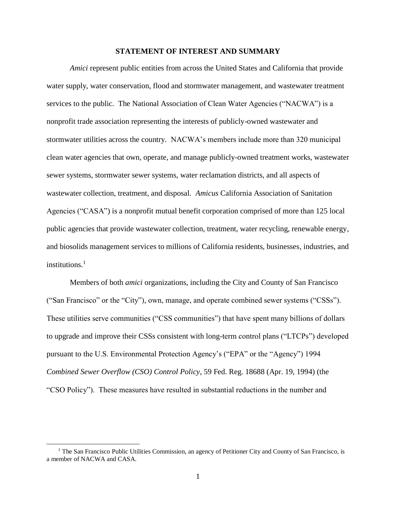#### **STATEMENT OF INTEREST AND SUMMARY**

*Amici* represent public entities from across the United States and California that provide water supply, water conservation, flood and stormwater management, and wastewater treatment services to the public. The National Association of Clean Water Agencies ("NACWA") is a nonprofit trade association representing the interests of publicly-owned wastewater and stormwater utilities across the country. NACWA's members include more than 320 municipal clean water agencies that own, operate, and manage publicly-owned treatment works, wastewater sewer systems, stormwater sewer systems, water reclamation districts, and all aspects of wastewater collection, treatment, and disposal. *Amicus* California Association of Sanitation Agencies ("CASA") is a nonprofit mutual benefit corporation comprised of more than 125 local public agencies that provide wastewater collection, treatment, water recycling, renewable energy, and biosolids management services to millions of California residents, businesses, industries, and institutions.<sup>1</sup>

Members of both *amici* organizations, including the City and County of San Francisco ("San Francisco" or the "City"), own, manage, and operate combined sewer systems ("CSSs"). These utilities serve communities ("CSS communities") that have spent many billions of dollars to upgrade and improve their CSSs consistent with long-term control plans ("LTCPs") developed pursuant to the U.S. Environmental Protection Agency's ("EPA" or the "Agency") 1994 *Combined Sewer Overflow (CSO) Control Policy*, 59 Fed. Reg. 18688 (Apr. 19, 1994) (the "CSO Policy"). These measures have resulted in substantial reductions in the number and

<sup>&</sup>lt;sup>1</sup> The San Francisco Public Utilities Commission, an agency of Petitioner City and County of San Francisco, is a member of NACWA and CASA.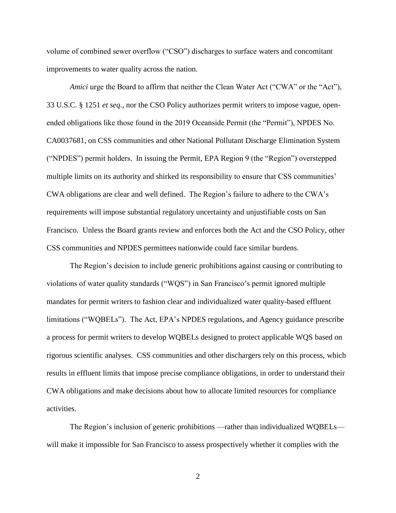volume of combined sewer overflow ("CSO") discharges to surface waters and concomitant improvements to water quality across the nation.

*Amici* urge the Board to affirm that neither the Clean Water Act ("CWA" or the "Act"), 33 U.S.C. § 1251 *et seq.*, nor the CSO Policy authorizes permit writers to impose vague, openended obligations like those found in the 2019 Oceanside Permit (the "Permit"), NPDES No. CA0037681, on CSS communities and other National Pollutant Discharge Elimination System ("NPDES") permit holders. In issuing the Permit, EPA Region 9 (the "Region") overstepped multiple limits on its authority and shirked its responsibility to ensure that CSS communities' CWA obligations are clear and well defined. The Region's failure to adhere to the CWA's requirements will impose substantial regulatory uncertainty and unjustifiable costs on San Francisco. Unless the Board grants review and enforces both the Act and the CSO Policy, other CSS communities and NPDES permittees nationwide could face similar burdens.

The Region's decision to include generic prohibitions against causing or contributing to violations of water quality standards ("WQS") in San Francisco's permit ignored multiple mandates for permit writers to fashion clear and individualized water quality-based effluent limitations ("WQBELs"). The Act, EPA's NPDES regulations, and Agency guidance prescribe a process for permit writers to develop WQBELs designed to protect applicable WQS based on rigorous scientific analyses. CSS communities and other dischargers rely on this process, which results in effluent limits that impose precise compliance obligations, in order to understand their CWA obligations and make decisions about how to allocate limited resources for compliance activities.

The Region's inclusion of generic prohibitions —rather than individualized WQBELs will make it impossible for San Francisco to assess prospectively whether it complies with the

2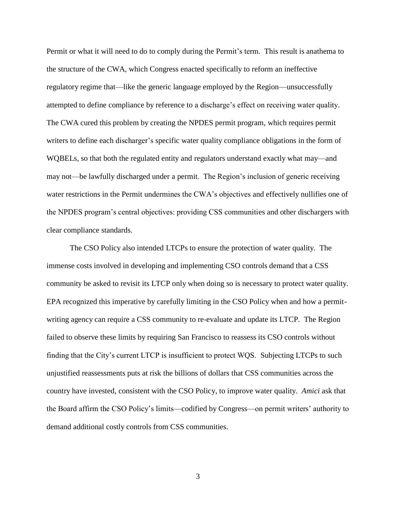Permit or what it will need to do to comply during the Permit's term. This result is anathema to the structure of the CWA, which Congress enacted specifically to reform an ineffective regulatory regime that—like the generic language employed by the Region—unsuccessfully attempted to define compliance by reference to a discharge's effect on receiving water quality. The CWA cured this problem by creating the NPDES permit program, which requires permit writers to define each discharger's specific water quality compliance obligations in the form of WQBELs, so that both the regulated entity and regulators understand exactly what may—and may not—be lawfully discharged under a permit. The Region's inclusion of generic receiving water restrictions in the Permit undermines the CWA's objectives and effectively nullifies one of the NPDES program's central objectives: providing CSS communities and other dischargers with clear compliance standards.

The CSO Policy also intended LTCPs to ensure the protection of water quality. The immense costs involved in developing and implementing CSO controls demand that a CSS community be asked to revisit its LTCP only when doing so is necessary to protect water quality. EPA recognized this imperative by carefully limiting in the CSO Policy when and how a permitwriting agency can require a CSS community to re-evaluate and update its LTCP. The Region failed to observe these limits by requiring San Francisco to reassess its CSO controls without finding that the City's current LTCP is insufficient to protect WQS. Subjecting LTCPs to such unjustified reassessments puts at risk the billions of dollars that CSS communities across the country have invested, consistent with the CSO Policy, to improve water quality. *Amici* ask that the Board affirm the CSO Policy's limits—codified by Congress—on permit writers' authority to demand additional costly controls from CSS communities.

3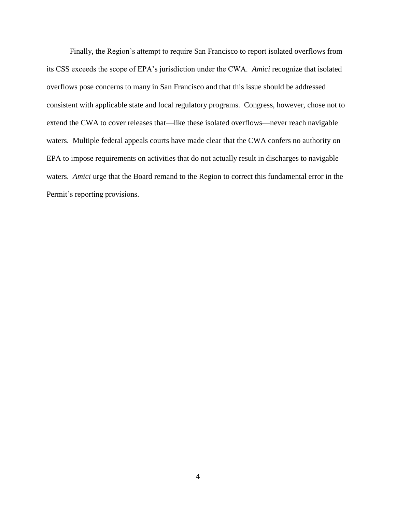Finally, the Region's attempt to require San Francisco to report isolated overflows from its CSS exceeds the scope of EPA's jurisdiction under the CWA. *Amici* recognize that isolated overflows pose concerns to many in San Francisco and that this issue should be addressed consistent with applicable state and local regulatory programs. Congress, however, chose not to extend the CWA to cover releases that—like these isolated overflows—never reach navigable waters. Multiple federal appeals courts have made clear that the CWA confers no authority on EPA to impose requirements on activities that do not actually result in discharges to navigable waters. *Amici* urge that the Board remand to the Region to correct this fundamental error in the Permit's reporting provisions.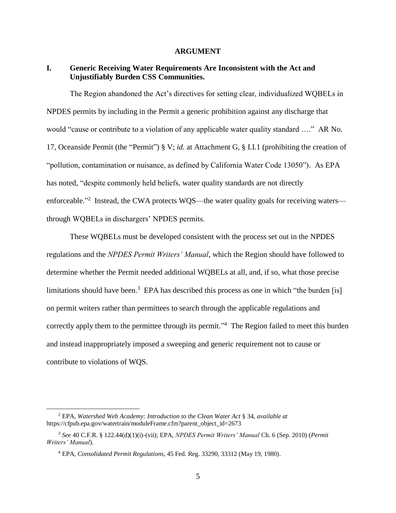#### **ARGUMENT**

## **I. Generic Receiving Water Requirements Are Inconsistent with the Act and Unjustifiably Burden CSS Communities.**

The Region abandoned the Act's directives for setting clear, individualized WQBELs in NPDES permits by including in the Permit a generic prohibition against any discharge that would "cause or contribute to a violation of any applicable water quality standard …." AR No. 17, Oceanside Permit (the "Permit") § V; *id.* at Attachment G, § I.I.1 (prohibiting the creation of "pollution, contamination or nuisance, as defined by California Water Code 13050"). As EPA has noted, "despite commonly held beliefs, water quality standards are not directly enforceable."<sup>2</sup> Instead, the CWA protects WQS—the water quality goals for receiving waters through WQBELs in dischargers' NPDES permits.

These WQBELs must be developed consistent with the process set out in the NPDES regulations and the *NPDES Permit Writers' Manual*, which the Region should have followed to determine whether the Permit needed additional WQBELs at all, and, if so, what those precise limitations should have been.<sup>3</sup> EPA has described this process as one in which "the burden [is] on permit writers rather than permittees to search through the applicable regulations and correctly apply them to the permittee through its permit."<sup>4</sup> The Region failed to meet this burden and instead inappropriately imposed a sweeping and generic requirement not to cause or contribute to violations of WQS.

<sup>2</sup> EPA, *Watershed Web Academy: Introduction to the Clean Water Act* § 34, *available at* https://cfpub.epa.gov/watertrain/moduleFrame.cfm?parent\_object\_id=2673

<sup>3</sup> *See* 40 C.F.R. § 122.44(d)(1)(i)-(vii); EPA, *NPDES Permit Writers' Manual* Ch. 6 (Sep. 2010) (*Permit Writers' Manual*).

<sup>4</sup> EPA, *Consolidated Permit Regulations*, 45 Fed. Reg. 33290, 33312 (May 19, 1980).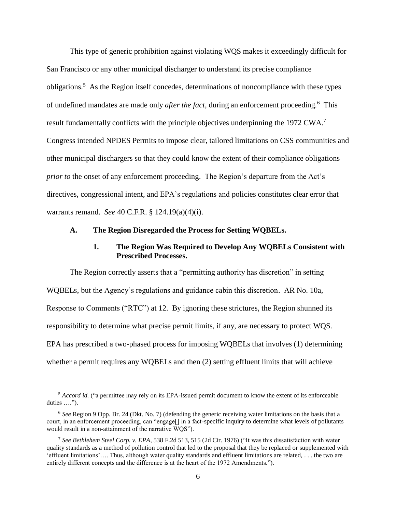This type of generic prohibition against violating WQS makes it exceedingly difficult for San Francisco or any other municipal discharger to understand its precise compliance obligations.<sup>5</sup> As the Region itself concedes, determinations of noncompliance with these types of undefined mandates are made only *after the fact*, during an enforcement proceeding.<sup>6</sup> This result fundamentally conflicts with the principle objectives underpinning the 1972 CWA.<sup>7</sup> Congress intended NPDES Permits to impose clear, tailored limitations on CSS communities and other municipal dischargers so that they could know the extent of their compliance obligations *prior to* the onset of any enforcement proceeding. The Region's departure from the Act's directives, congressional intent, and EPA's regulations and policies constitutes clear error that warrants remand. *See* 40 C.F.R. § 124.19(a)(4)(i).

#### **A. The Region Disregarded the Process for Setting WQBELs.**

### **1. The Region Was Required to Develop Any WQBELs Consistent with Prescribed Processes.**

The Region correctly asserts that a "permitting authority has discretion" in setting WQBELs, but the Agency's regulations and guidance cabin this discretion. AR No. 10a, Response to Comments ("RTC") at 12. By ignoring these strictures, the Region shunned its responsibility to determine what precise permit limits, if any, are necessary to protect WQS. EPA has prescribed a two-phased process for imposing WQBELs that involves (1) determining whether a permit requires any WQBELs and then (2) setting effluent limits that will achieve

<sup>&</sup>lt;sup>5</sup> *Accord id.* ("a permittee may rely on its EPA-issued permit document to know the extent of its enforceable duties ….").

<sup>6</sup> *See* Region 9 Opp. Br. 24 (Dkt. No. 7) (defending the generic receiving water limitations on the basis that a court, in an enforcement proceeding, can "engage[] in a fact-specific inquiry to determine what levels of pollutants would result in a non-attainment of the narrative WQS").

<sup>7</sup> *See Bethlehem Steel Corp. v. EPA*, 538 F.2d 513, 515 (2d Cir. 1976) ("It was this dissatisfaction with water quality standards as a method of pollution control that led to the proposal that they be replaced or supplemented with 'effluent limitations'…. Thus, although water quality standards and effluent limitations are related, . . . the two are entirely different concepts and the difference is at the heart of the 1972 Amendments.").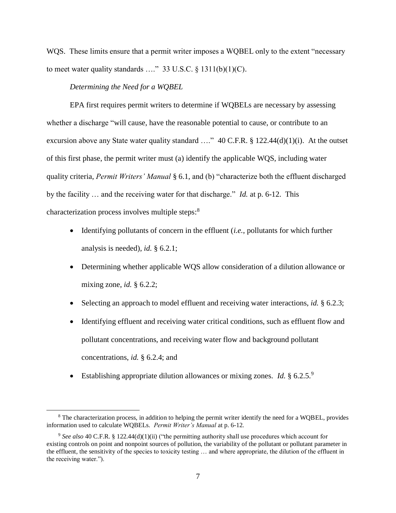WQS. These limits ensure that a permit writer imposes a WQBEL only to the extent "necessary to meet water quality standards ...." 33 U.S.C.  $\S$  1311(b)(1)(C).

#### *Determining the Need for a WQBEL*

 $\overline{a}$ 

EPA first requires permit writers to determine if WQBELs are necessary by assessing whether a discharge "will cause, have the reasonable potential to cause, or contribute to an excursion above any State water quality standard ...." 40 C.F.R. § 122.44(d)(1)(i). At the outset of this first phase, the permit writer must (a) identify the applicable WQS, including water quality criteria, *Permit Writers' Manual* § 6.1, and (b) "characterize both the effluent discharged by the facility … and the receiving water for that discharge." *Id.* at p. 6-12. This characterization process involves multiple steps:<sup>8</sup>

- Identifying pollutants of concern in the effluent (*i.e.*, pollutants for which further analysis is needed), *id.* § 6.2.1;
- Determining whether applicable WQS allow consideration of a dilution allowance or mixing zone, *id.* § 6.2.2;
- Selecting an approach to model effluent and receiving water interactions, *id.* § 6.2.3;
- Identifying effluent and receiving water critical conditions, such as effluent flow and pollutant concentrations, and receiving water flow and background pollutant concentrations, *id.* § 6.2.4; and
- Establishing appropriate dilution allowances or mixing zones. *Id.* § 6.2.5.<sup>9</sup>

<sup>&</sup>lt;sup>8</sup> The characterization process, in addition to helping the permit writer identify the need for a WQBEL, provides information used to calculate WQBELs. *Permit Writer's Manual* at p. 6-12.

<sup>9</sup> *See also* 40 C.F.R. § 122.44(d)(1)(ii) ("the permitting authority shall use procedures which account for existing controls on point and nonpoint sources of pollution, the variability of the pollutant or pollutant parameter in the effluent, the sensitivity of the species to toxicity testing … and where appropriate, the dilution of the effluent in the receiving water.").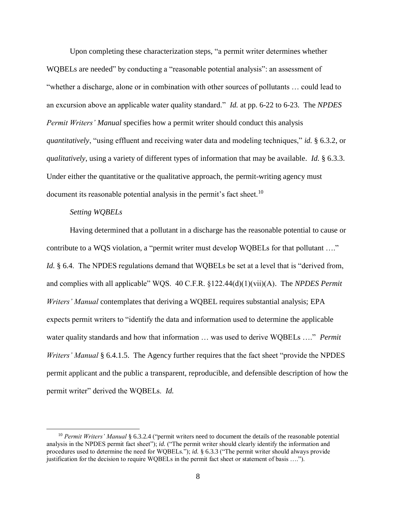Upon completing these characterization steps, "a permit writer determines whether WQBELs are needed" by conducting a "reasonable potential analysis": an assessment of "whether a discharge, alone or in combination with other sources of pollutants … could lead to an excursion above an applicable water quality standard." *Id.* at pp. 6-22 to 6-23. The *NPDES Permit Writers' Manual* specifies how a permit writer should conduct this analysis *quantitatively*, "using effluent and receiving water data and modeling techniques," *id.* § 6.3.2, or *qualitatively*, using a variety of different types of information that may be available. *Id.* § 6.3.3. Under either the quantitative or the qualitative approach, the permit-writing agency must document its reasonable potential analysis in the permit's fact sheet.<sup>10</sup>

#### *Setting WQBELs*

 $\overline{a}$ 

Having determined that a pollutant in a discharge has the reasonable potential to cause or contribute to a WQS violation, a "permit writer must develop WQBELs for that pollutant …." *Id.* § 6.4. The NPDES regulations demand that WQBELs be set at a level that is "derived from, and complies with all applicable" WQS. 40 C.F.R. §122.44(d)(1)(vii)(A). The *NPDES Permit Writers' Manual* contemplates that deriving a WQBEL requires substantial analysis; EPA expects permit writers to "identify the data and information used to determine the applicable water quality standards and how that information … was used to derive WQBELs …." *Permit Writers' Manual* § 6.4.1.5. The Agency further requires that the fact sheet "provide the NPDES" permit applicant and the public a transparent, reproducible, and defensible description of how the permit writer" derived the WQBELs. *Id.*

<sup>10</sup> *Permit Writers' Manual* § 6.3.2.4 ("permit writers need to document the details of the reasonable potential analysis in the NPDES permit fact sheet"); *id.* ("The permit writer should clearly identify the information and procedures used to determine the need for WQBELs."); *id.* § 6.3.3 ("The permit writer should always provide justification for the decision to require WQBELs in the permit fact sheet or statement of basis ….").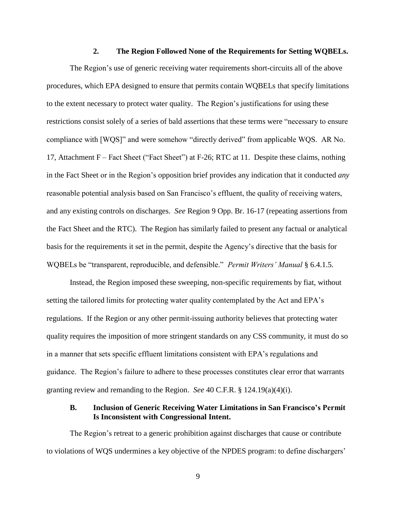#### **2. The Region Followed None of the Requirements for Setting WQBELs.**

The Region's use of generic receiving water requirements short-circuits all of the above procedures, which EPA designed to ensure that permits contain WQBELs that specify limitations to the extent necessary to protect water quality. The Region's justifications for using these restrictions consist solely of a series of bald assertions that these terms were "necessary to ensure compliance with [WQS]" and were somehow "directly derived" from applicable WQS. AR No. 17, Attachment F – Fact Sheet ("Fact Sheet") at F-26; RTC at 11. Despite these claims, nothing in the Fact Sheet or in the Region's opposition brief provides any indication that it conducted *any* reasonable potential analysis based on San Francisco's effluent, the quality of receiving waters, and any existing controls on discharges. *See* Region 9 Opp. Br. 16-17 (repeating assertions from the Fact Sheet and the RTC). The Region has similarly failed to present any factual or analytical basis for the requirements it set in the permit, despite the Agency's directive that the basis for WQBELs be "transparent, reproducible, and defensible." *Permit Writers' Manual* § 6.4.1.5.

Instead, the Region imposed these sweeping, non-specific requirements by fiat, without setting the tailored limits for protecting water quality contemplated by the Act and EPA's regulations. If the Region or any other permit-issuing authority believes that protecting water quality requires the imposition of more stringent standards on any CSS community, it must do so in a manner that sets specific effluent limitations consistent with EPA's regulations and guidance. The Region's failure to adhere to these processes constitutes clear error that warrants granting review and remanding to the Region. *See* 40 C.F.R. § 124.19(a)(4)(i).

### **B. Inclusion of Generic Receiving Water Limitations in San Francisco's Permit Is Inconsistent with Congressional Intent.**

The Region's retreat to a generic prohibition against discharges that cause or contribute to violations of WQS undermines a key objective of the NPDES program: to define dischargers'

9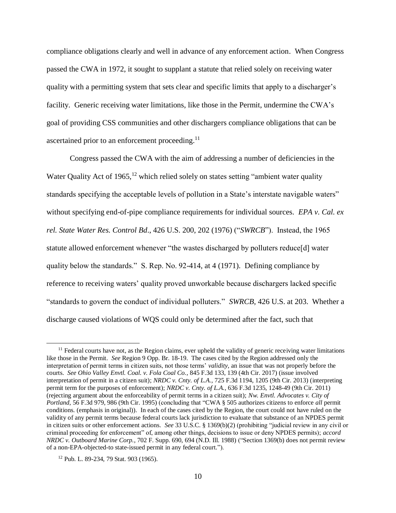compliance obligations clearly and well in advance of any enforcement action. When Congress passed the CWA in 1972, it sought to supplant a statute that relied solely on receiving water quality with a permitting system that sets clear and specific limits that apply to a discharger's facility. Generic receiving water limitations, like those in the Permit, undermine the CWA's goal of providing CSS communities and other dischargers compliance obligations that can be ascertained prior to an enforcement proceeding.<sup>11</sup>

Congress passed the CWA with the aim of addressing a number of deficiencies in the Water Quality Act of 1965,  $12$  which relied solely on states setting "ambient water quality" standards specifying the acceptable levels of pollution in a State's interstate navigable waters" without specifying end-of-pipe compliance requirements for individual sources. *EPA v. Cal. ex rel. State Water Res. Control Bd*., 426 U.S. 200, 202 (1976) ("*SWRCB*"). Instead, the 1965 statute allowed enforcement whenever "the wastes discharged by polluters reduce[d] water quality below the standards." S. Rep. No. 92-414, at 4 (1971). Defining compliance by reference to receiving waters' quality proved unworkable because dischargers lacked specific "standards to govern the conduct of individual polluters." *SWRCB*, 426 U.S. at 203. Whether a discharge caused violations of WQS could only be determined after the fact, such that

 $11$  Federal courts have not, as the Region claims, ever upheld the validity of generic receiving water limitations like those in the Permit. *See* Region 9 Opp. Br. 18-19. The cases cited by the Region addressed only the interpretation of permit terms in citizen suits, not those terms' *validity,* an issue that was not properly before the courts. *See Ohio Valley Envtl. Coal. v. Fola Coal Co.*, 845 F.3d 133, 139 (4th Cir. 2017) (issue involved interpretation of permit in a citizen suit); *NRDC v. Cnty. of L.A.*, 725 F.3d 1194, 1205 (9th Cir. 2013) (interpreting permit term for the purposes of enforcement); *NRDC v. Cnty. of L.A.*, 636 F.3d 1235, 1248-49 (9th Cir. 2011) (rejecting argument about the enforceability of permit terms in a citizen suit); *Nw. Envtl. Advocates v. City of Portland*, 56 F.3d 979, 986 (9th Cir. 1995) (concluding that "CWA § 505 authorizes citizens to enforce *all* permit conditions. (emphasis in original)). In each of the cases cited by the Region, the court could not have ruled on the validity of any permit terms because federal courts lack jurisdiction to evaluate that substance of an NPDES permit in citizen suits or other enforcement actions. *See* 33 U.S.C. § 1369(b)(2) (prohibiting "judicial review in any civil or criminal proceeding for enforcement" of, among other things, decisions to issue or deny NPDES permits); *accord NRDC v. Outboard Marine Corp.*, 702 F. Supp. 690, 694 (N.D. Ill. 1988) ("Section 1369(b) does not permit review of a non-EPA-objected-to state-issued permit in any federal court.").

<sup>12</sup> Pub. L. 89-234, 79 Stat. 903 (1965).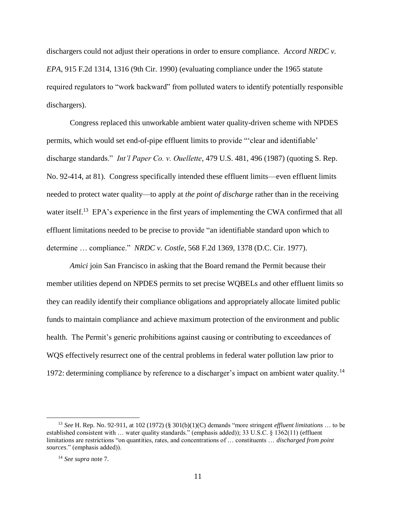dischargers could not adjust their operations in order to ensure compliance. *Accord NRDC v. EPA*, 915 F.2d 1314, 1316 (9th Cir. 1990) (evaluating compliance under the 1965 statute required regulators to "work backward" from polluted waters to identify potentially responsible dischargers).

Congress replaced this unworkable ambient water quality-driven scheme with NPDES permits, which would set end-of-pipe effluent limits to provide "'clear and identifiable' discharge standards." *Int'l Paper Co. v. Ouellette*, 479 U.S. 481, 496 (1987) (quoting S. Rep. No. 92-414, at 81). Congress specifically intended these effluent limits—even effluent limits needed to protect water quality—to apply at *the point of discharge* rather than in the receiving water itself.<sup>13</sup> EPA's experience in the first years of implementing the CWA confirmed that all effluent limitations needed to be precise to provide "an identifiable standard upon which to determine … compliance." *NRDC v. Costle*, 568 F.2d 1369, 1378 (D.C. Cir. 1977).

*Amici* join San Francisco in asking that the Board remand the Permit because their member utilities depend on NPDES permits to set precise WQBELs and other effluent limits so they can readily identify their compliance obligations and appropriately allocate limited public funds to maintain compliance and achieve maximum protection of the environment and public health. The Permit's generic prohibitions against causing or contributing to exceedances of WQS effectively resurrect one of the central problems in federal water pollution law prior to 1972: determining compliance by reference to a discharger's impact on ambient water quality.<sup>14</sup>

<sup>13</sup> *See* H. Rep. No. 92-911, at 102 (1972) (§ 301(b)(1)(C) demands "more stringent *effluent limitations* … to be established consistent with … water quality standards." (emphasis added)); 33 U.S.C. § 1362(11) (effluent limitations are restrictions "on quantities, rates, and concentrations of … constituents … *discharged from point sources*." (emphasis added)).

<sup>14</sup> *See supra* note 7.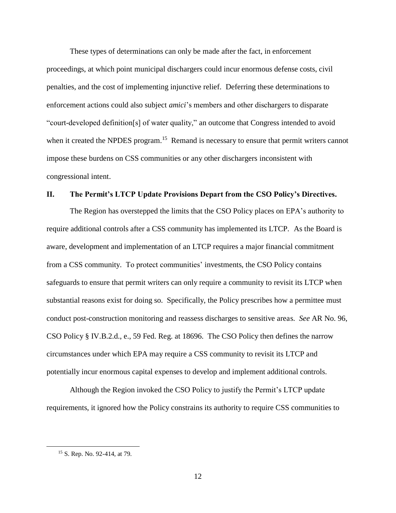These types of determinations can only be made after the fact, in enforcement proceedings, at which point municipal dischargers could incur enormous defense costs, civil penalties, and the cost of implementing injunctive relief. Deferring these determinations to enforcement actions could also subject *amici*'s members and other dischargers to disparate "court-developed definition[s] of water quality," an outcome that Congress intended to avoid when it created the NPDES program.<sup>15</sup> Remand is necessary to ensure that permit writers cannot impose these burdens on CSS communities or any other dischargers inconsistent with congressional intent.

### **II. The Permit's LTCP Update Provisions Depart from the CSO Policy's Directives.**

The Region has overstepped the limits that the CSO Policy places on EPA's authority to require additional controls after a CSS community has implemented its LTCP. As the Board is aware, development and implementation of an LTCP requires a major financial commitment from a CSS community. To protect communities' investments, the CSO Policy contains safeguards to ensure that permit writers can only require a community to revisit its LTCP when substantial reasons exist for doing so. Specifically, the Policy prescribes how a permittee must conduct post-construction monitoring and reassess discharges to sensitive areas. *See* AR No. 96, CSO Policy § IV.B.2.d., e., 59 Fed. Reg. at 18696. The CSO Policy then defines the narrow circumstances under which EPA may require a CSS community to revisit its LTCP and potentially incur enormous capital expenses to develop and implement additional controls.

Although the Region invoked the CSO Policy to justify the Permit's LTCP update requirements, it ignored how the Policy constrains its authority to require CSS communities to

<sup>15</sup> S. Rep. No. 92-414, at 79.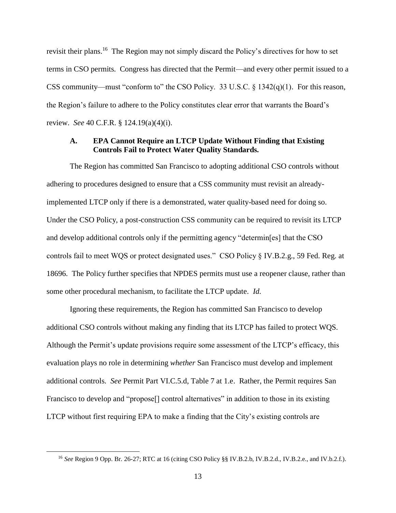revisit their plans.<sup>16</sup> The Region may not simply discard the Policy's directives for how to set terms in CSO permits. Congress has directed that the Permit—and every other permit issued to a CSS community—must "conform to" the CSO Policy. 33 U.S.C. § 1342(q)(1). For this reason, the Region's failure to adhere to the Policy constitutes clear error that warrants the Board's review. *See* 40 C.F.R. § 124.19(a)(4)(i).

## **A. EPA Cannot Require an LTCP Update Without Finding that Existing Controls Fail to Protect Water Quality Standards.**

The Region has committed San Francisco to adopting additional CSO controls without adhering to procedures designed to ensure that a CSS community must revisit an alreadyimplemented LTCP only if there is a demonstrated, water quality-based need for doing so. Under the CSO Policy, a post-construction CSS community can be required to revisit its LTCP and develop additional controls only if the permitting agency "determin[es] that the CSO controls fail to meet WQS or protect designated uses." CSO Policy § IV.B.2.g., 59 Fed. Reg. at 18696. The Policy further specifies that NPDES permits must use a reopener clause, rather than some other procedural mechanism, to facilitate the LTCP update. *Id.*

Ignoring these requirements, the Region has committed San Francisco to develop additional CSO controls without making any finding that its LTCP has failed to protect WQS. Although the Permit's update provisions require some assessment of the LTCP's efficacy, this evaluation plays no role in determining *whether* San Francisco must develop and implement additional controls. *See* Permit Part VI.C.5.d, Table 7 at 1.e. Rather, the Permit requires San Francisco to develop and "propose<sup>[]</sup> control alternatives" in addition to those in its existing LTCP without first requiring EPA to make a finding that the City's existing controls are

<sup>16</sup> *See* Region 9 Opp. Br. 26-27; RTC at 16 (citing CSO Policy §§ IV.B.2.b, IV.B.2.d., IV.B.2.e., and IV.b.2.f.).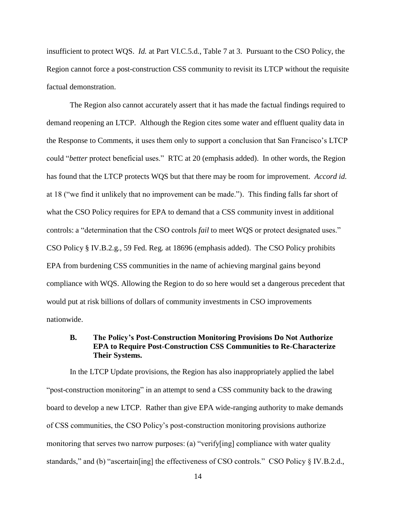insufficient to protect WQS. *Id.* at Part VI.C.5.d., Table 7 at 3. Pursuant to the CSO Policy, the Region cannot force a post-construction CSS community to revisit its LTCP without the requisite factual demonstration.

The Region also cannot accurately assert that it has made the factual findings required to demand reopening an LTCP. Although the Region cites some water and effluent quality data in the Response to Comments, it uses them only to support a conclusion that San Francisco's LTCP could "*better* protect beneficial uses." RTC at 20 (emphasis added). In other words, the Region has found that the LTCP protects WQS but that there may be room for improvement. *Accord id.* at 18 ("we find it unlikely that no improvement can be made."). This finding falls far short of what the CSO Policy requires for EPA to demand that a CSS community invest in additional controls: a "determination that the CSO controls *fail* to meet WQS or protect designated uses." CSO Policy § IV.B.2.g., 59 Fed. Reg. at 18696 (emphasis added). The CSO Policy prohibits EPA from burdening CSS communities in the name of achieving marginal gains beyond compliance with WQS. Allowing the Region to do so here would set a dangerous precedent that would put at risk billions of dollars of community investments in CSO improvements nationwide.

## **B. The Policy's Post-Construction Monitoring Provisions Do Not Authorize EPA to Require Post-Construction CSS Communities to Re-Characterize Their Systems.**

In the LTCP Update provisions, the Region has also inappropriately applied the label "post-construction monitoring" in an attempt to send a CSS community back to the drawing board to develop a new LTCP. Rather than give EPA wide-ranging authority to make demands of CSS communities, the CSO Policy's post-construction monitoring provisions authorize monitoring that serves two narrow purposes: (a) "verify[ing] compliance with water quality standards," and (b) "ascertain[ing] the effectiveness of CSO controls." CSO Policy § IV.B.2.d.,

14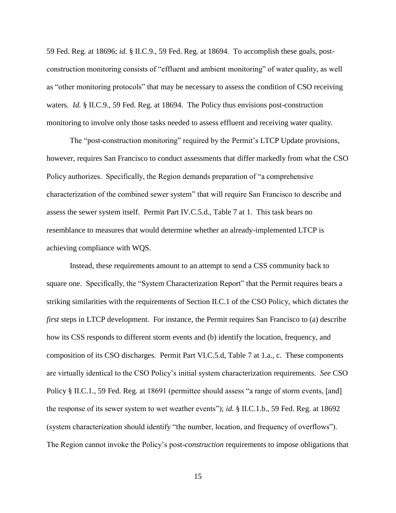59 Fed. Reg. at 18696; *id.* § II.C.9., 59 Fed. Reg. at 18694. To accomplish these goals, postconstruction monitoring consists of "effluent and ambient monitoring" of water quality, as well as "other monitoring protocols" that may be necessary to assess the condition of CSO receiving waters. *Id.* § II.C.9., 59 Fed. Reg. at 18694. The Policy thus envisions post-construction monitoring to involve only those tasks needed to assess effluent and receiving water quality.

The "post-construction monitoring" required by the Permit's LTCP Update provisions, however, requires San Francisco to conduct assessments that differ markedly from what the CSO Policy authorizes. Specifically, the Region demands preparation of "a comprehensive characterization of the combined sewer system" that will require San Francisco to describe and assess the sewer system itself. Permit Part IV.C.5.d., Table 7 at 1. This task bears no resemblance to measures that would determine whether an already-implemented LTCP is achieving compliance with WQS.

Instead, these requirements amount to an attempt to send a CSS community back to square one. Specifically, the "System Characterization Report" that the Permit requires bears a striking similarities with the requirements of Section II.C.1 of the CSO Policy, which dictates the *first* steps in LTCP development. For instance, the Permit requires San Francisco to (a) describe how its CSS responds to different storm events and (b) identify the location, frequency, and composition of its CSO discharges. Permit Part VI.C.5.d, Table 7 at 1.a., c. These components are virtually identical to the CSO Policy's initial system characterization requirements. *See* CSO Policy § II.C.1., 59 Fed. Reg. at 18691 (permittee should assess "a range of storm events, [and] the response of its sewer system to wet weather events"); *id.* § II.C.1.b., 59 Fed. Reg. at 18692 (system characterization should identify "the number, location, and frequency of overflows"). The Region cannot invoke the Policy's post-*construction* requirements to impose obligations that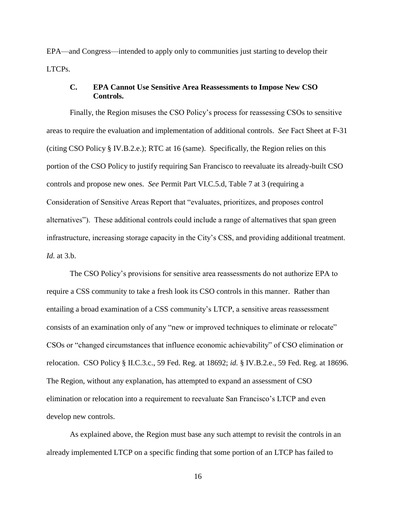EPA—and Congress—intended to apply only to communities just starting to develop their LTCPs.

#### **C. EPA Cannot Use Sensitive Area Reassessments to Impose New CSO Controls.**

Finally, the Region misuses the CSO Policy's process for reassessing CSOs to sensitive areas to require the evaluation and implementation of additional controls. *See* Fact Sheet at F-31 (citing CSO Policy § IV.B.2.e.); RTC at 16 (same). Specifically, the Region relies on this portion of the CSO Policy to justify requiring San Francisco to reevaluate its already-built CSO controls and propose new ones. *See* Permit Part VI.C.5.d, Table 7 at 3 (requiring a Consideration of Sensitive Areas Report that "evaluates, prioritizes, and proposes control alternatives"). These additional controls could include a range of alternatives that span green infrastructure, increasing storage capacity in the City's CSS, and providing additional treatment. *Id.* at 3.b.

The CSO Policy's provisions for sensitive area reassessments do not authorize EPA to require a CSS community to take a fresh look its CSO controls in this manner. Rather than entailing a broad examination of a CSS community's LTCP, a sensitive areas reassessment consists of an examination only of any "new or improved techniques to eliminate or relocate" CSOs or "changed circumstances that influence economic achievability" of CSO elimination or relocation. CSO Policy § II.C.3.c., 59 Fed. Reg. at 18692; *id.* § IV.B.2.e., 59 Fed. Reg. at 18696. The Region, without any explanation, has attempted to expand an assessment of CSO elimination or relocation into a requirement to reevaluate San Francisco's LTCP and even develop new controls.

As explained above, the Region must base any such attempt to revisit the controls in an already implemented LTCP on a specific finding that some portion of an LTCP has failed to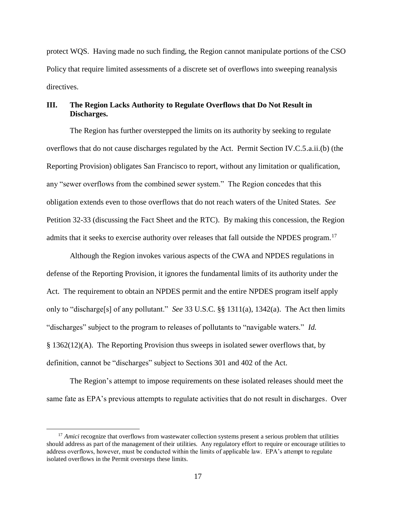protect WQS. Having made no such finding, the Region cannot manipulate portions of the CSO Policy that require limited assessments of a discrete set of overflows into sweeping reanalysis directives.

## **III. The Region Lacks Authority to Regulate Overflows that Do Not Result in Discharges.**

The Region has further overstepped the limits on its authority by seeking to regulate overflows that do not cause discharges regulated by the Act. Permit Section IV.C.5.a.ii.(b) (the Reporting Provision) obligates San Francisco to report, without any limitation or qualification, any "sewer overflows from the combined sewer system." The Region concedes that this obligation extends even to those overflows that do not reach waters of the United States. *See* Petition 32-33 (discussing the Fact Sheet and the RTC). By making this concession, the Region admits that it seeks to exercise authority over releases that fall outside the NPDES program.<sup>17</sup>

Although the Region invokes various aspects of the CWA and NPDES regulations in defense of the Reporting Provision, it ignores the fundamental limits of its authority under the Act. The requirement to obtain an NPDES permit and the entire NPDES program itself apply only to "discharge[s] of any pollutant." *See* 33 U.S.C. §§ 1311(a), 1342(a). The Act then limits "discharges" subject to the program to releases of pollutants to "navigable waters." *Id.* § 1362(12)(A). The Reporting Provision thus sweeps in isolated sewer overflows that, by definition, cannot be "discharges" subject to Sections 301 and 402 of the Act.

The Region's attempt to impose requirements on these isolated releases should meet the same fate as EPA's previous attempts to regulate activities that do not result in discharges. Over

<sup>&</sup>lt;sup>17</sup> *Amici* recognize that overflows from wastewater collection systems present a serious problem that utilities should address as part of the management of their utilities. Any regulatory effort to require or encourage utilities to address overflows, however, must be conducted within the limits of applicable law. EPA's attempt to regulate isolated overflows in the Permit oversteps these limits.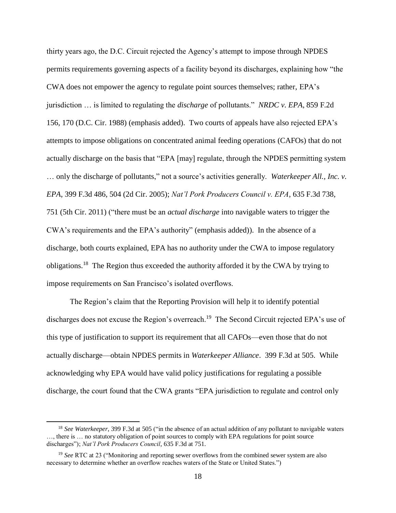thirty years ago, the D.C. Circuit rejected the Agency's attempt to impose through NPDES permits requirements governing aspects of a facility beyond its discharges, explaining how "the CWA does not empower the agency to regulate point sources themselves; rather, EPA's jurisdiction … is limited to regulating the *discharge* of pollutants." *NRDC v. EPA*, 859 F.2d 156, 170 (D.C. Cir. 1988) (emphasis added). Two courts of appeals have also rejected EPA's attempts to impose obligations on concentrated animal feeding operations (CAFOs) that do not actually discharge on the basis that "EPA [may] regulate, through the NPDES permitting system … only the discharge of pollutants," not a source's activities generally. *Waterkeeper All., Inc. v. EPA*, 399 F.3d 486, 504 (2d Cir. 2005); *Nat'l Pork Producers Council v. EPA*, 635 F.3d 738, 751 (5th Cir. 2011) ("there must be an *actual discharge* into navigable waters to trigger the CWA's requirements and the EPA's authority" (emphasis added)). In the absence of a discharge, both courts explained, EPA has no authority under the CWA to impose regulatory obligations.<sup>18</sup> The Region thus exceeded the authority afforded it by the CWA by trying to impose requirements on San Francisco's isolated overflows.

The Region's claim that the Reporting Provision will help it to identify potential discharges does not excuse the Region's overreach.<sup>19</sup> The Second Circuit rejected EPA's use of this type of justification to support its requirement that all CAFOs—even those that do not actually discharge—obtain NPDES permits in *Waterkeeper Alliance*. 399 F.3d at 505. While acknowledging why EPA would have valid policy justifications for regulating a possible discharge, the court found that the CWA grants "EPA jurisdiction to regulate and control only

<sup>18</sup> *See Waterkeeper*, 399 F.3d at 505 ("in the absence of an actual addition of any pollutant to navigable waters …, there is … no statutory obligation of point sources to comply with EPA regulations for point source discharges"); *Nat'l Pork Producers Council*, 635 F.3d at 751.

<sup>19</sup> *See* RTC at 23 ("Monitoring and reporting sewer overflows from the combined sewer system are also necessary to determine whether an overflow reaches waters of the State or United States.")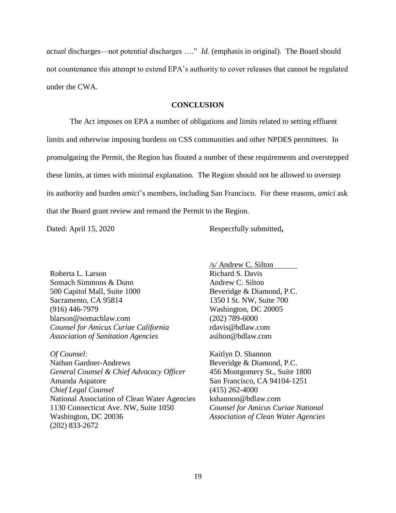*actual* discharges—not potential discharges …." *Id.* (emphasis in original). The Board should not countenance this attempt to extend EPA's authority to cover releases that cannot be regulated under the CWA.

#### **CONCLUSION**

The Act imposes on EPA a number of obligations and limits related to setting effluent limits and otherwise imposing burdens on CSS communities and other NPDES permittees. In promulgating the Permit, the Region has flouted a number of these requirements and overstepped these limits, at times with minimal explanation. The Region should not be allowed to overstep its authority and burden *amici*'s members, including San Francisco. For these reasons, *amici* ask that the Board grant review and remand the Permit to the Region.

Dated: April 15, 2020 Respectfully submitted,

Roberta L. Larson Somach Simmons & Dunn 500 Capitol Mall, Suite 1000 Sacramento, CA 95814 (916) 446-7979 blarson@somachlaw.com *Counsel for Amicus Curiae California Association of Sanitation Agencies*

*Of Counsel:* Nathan Gardner-Andrews *General Counsel & Chief Advocacy Officer* Amanda Aspatore *Chief Legal Counsel* National Association of Clean Water Agencies 1130 Connecticut Ave. NW, Suite 1050 Washington, DC 20036 (202) 833-2672

/s/ Andrew C. Silton Richard S. Davis Andrew C. Silton Beveridge & Diamond, P.C. 1350 I St. NW, Suite 700 Washington, DC 20005 (202) 789-6000 rdavis@bdlaw.com asilton@bdlaw.com

Kaitlyn D. Shannon Beveridge & Diamond, P.C. 456 Montgomery St., Suite 1800 San Francisco, CA 94104-1251 (415) 262-4000 kshannon@bdlaw.com *Counsel for Amicus Curiae National Association of Clean Water Agencies*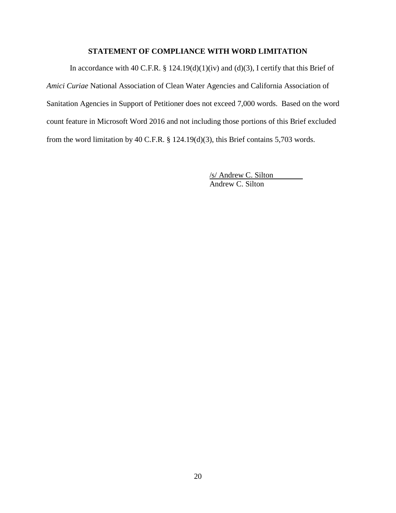## **STATEMENT OF COMPLIANCE WITH WORD LIMITATION**

In accordance with 40 C.F.R. § 124.19(d)(1)(iv) and (d)(3), I certify that this Brief of *Amici Curiae* National Association of Clean Water Agencies and California Association of Sanitation Agencies in Support of Petitioner does not exceed 7,000 words. Based on the word count feature in Microsoft Word 2016 and not including those portions of this Brief excluded from the word limitation by 40 C.F.R. § 124.19(d)(3), this Brief contains 5,703 words.

> /s/ Andrew C. Silton Andrew C. Silton